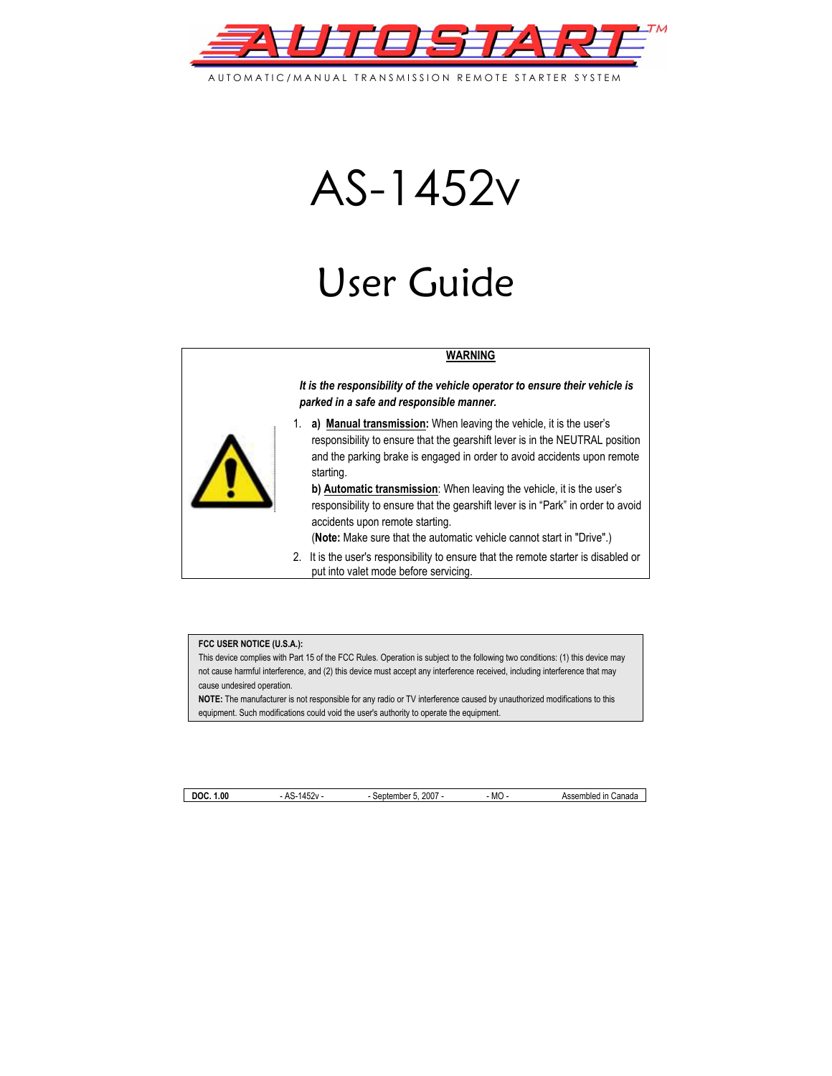

AUTOMATIC/MANUAL TRANSMISSION REMOTE STARTER SYSTEM

# AS-1452v

# User Guide

#### **WARNING**

*It is the responsibility of the vehicle operator to ensure their vehicle is parked in a safe and responsible manner.* 



1. **a) Manual transmission:** When leaving the vehicle, it is the user's responsibility to ensure that the gearshift lever is in the NEUTRAL position and the parking brake is engaged in order to avoid accidents upon remote starting.

**b) Automatic transmission**: When leaving the vehicle, it is the user's responsibility to ensure that the gearshift lever is in "Park" in order to avoid accidents upon remote starting.

(**Note:** Make sure that the automatic vehicle cannot start in "Drive".)

2. It is the user's responsibility to ensure that the remote starter is disabled or put into valet mode before servicing.

#### **FCC USER NOTICE (U.S.A.):**

This device complies with Part 15 of the FCC Rules. Operation is subject to the following two conditions: (1) this device may not cause harmful interference, and (2) this device must accept any interference received, including interference that may cause undesired operation.

**NOTE:** The manufacturer is not responsible for any radio or TV interference caused by unauthorized modifications to this equipment. Such modifications could void the user's authority to operate the equipment.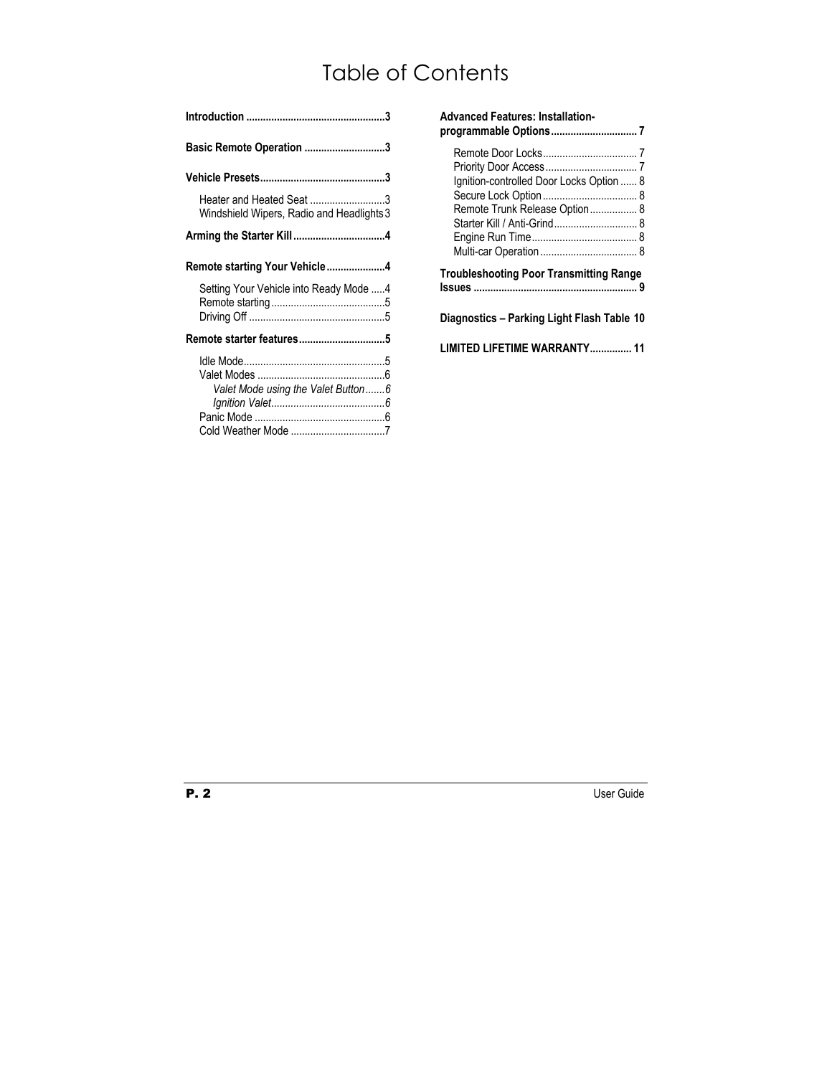# Table of Contents

| <b>Basic Remote Operation 3</b>                                       |
|-----------------------------------------------------------------------|
|                                                                       |
| Heater and Heated Seat 3<br>Windshield Wipers, Radio and Headlights 3 |
|                                                                       |
| Remote starting Your Vehicle4                                         |
| Setting Your Vehicle into Ready Mode 4                                |
|                                                                       |
|                                                                       |
| Valet Mode using the Valet Button6                                    |

| <b>Advanced Features: Installation-</b>                                                                  |
|----------------------------------------------------------------------------------------------------------|
| Ignition-controlled Door Locks Option  8<br>Remote Trunk Release Option 8<br>Starter Kill / Anti-Grind 8 |
| <b>Troubleshooting Poor Transmitting Range</b>                                                           |
| Diagnostics - Parking Light Flash Table 10                                                               |
| LIMITED LIFETIME WARRANTY 11                                                                             |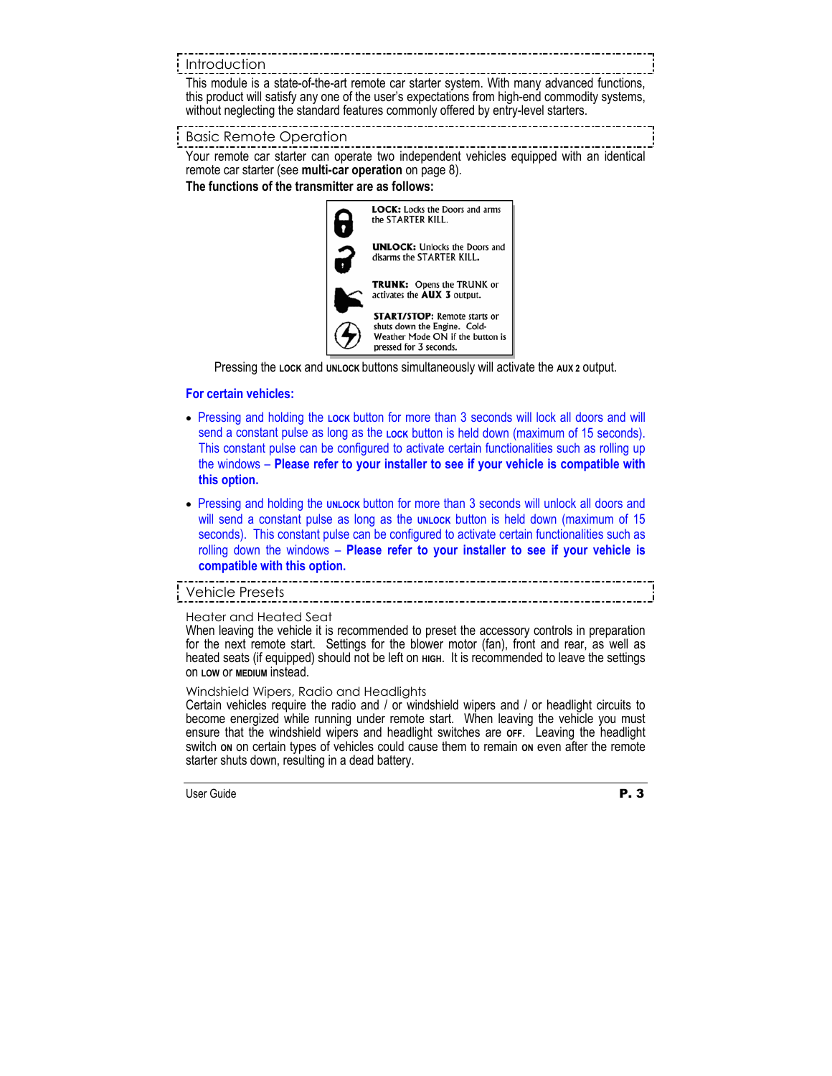# Introduction

This module is a state-of-the-art remote car starter system. With many advanced functions, this product will satisfy any one of the user's expectations from high-end commodity systems, without neglecting the standard features commonly offered by entry-level starters.

## Basic Remote Operation

Your remote car starter can operate two independent vehicles equipped with an identical remote car starter (see **multi-car operation** on page 8).

**The functions of the transmitter are as follows:** 



Pressing the **LOCK** and **UNLOCK** buttons simultaneously will activate the **AUX 2** output.

## **For certain vehicles:**

- Pressing and holding the **LOCK** button for more than 3 seconds will lock all doors and will send a constant pulse as long as the **Lock** button is held down (maximum of 15 seconds). This constant pulse can be configured to activate certain functionalities such as rolling up the windows – **Please refer to your installer to see if your vehicle is compatible with this option.**
- Pressing and holding the **UNLOCK** button for more than 3 seconds will unlock all doors and will send a constant pulse as long as the **UNLOCK** button is held down (maximum of 15 seconds). This constant pulse can be configured to activate certain functionalities such as rolling down the windows – **Please refer to your installer to see if your vehicle is compatible with this option.**

Vehicle Presets

#### Heater and Heated Seat

When leaving the vehicle it is recommended to preset the accessory controls in preparation for the next remote start. Settings for the blower motor (fan), front and rear, as well as heated seats (if equipped) should not be left on **HIGH.** It is recommended to leave the settings on **LOW** or **MEDIUM** instead.

#### Windshield Wipers, Radio and Headlights

Certain vehicles require the radio and / or windshield wipers and / or headlight circuits to become energized while running under remote start. When leaving the vehicle you must ensure that the windshield wipers and headlight switches are **OFF**. Leaving the headlight switch on on certain types of vehicles could cause them to remain on even after the remote starter shuts down, resulting in a dead battery.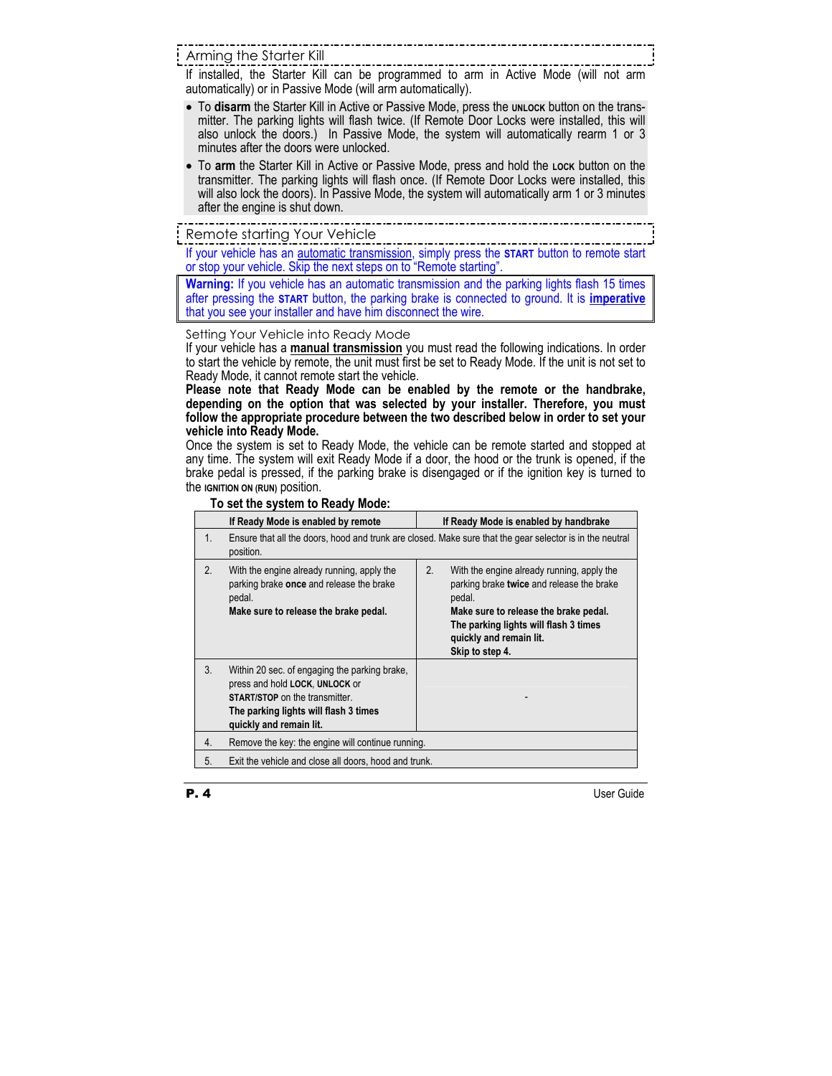Arming the Starter Kill

If installed, the Starter Kill can be programmed to arm in Active Mode (will not arm automatically) or in Passive Mode (will arm automatically).

- To **disarm** the Starter Kill in Active or Passive Mode, press the **UNLOCK** button on the transmitter. The parking lights will flash twice. (If Remote Door Locks were installed, this will also unlock the doors.) In Passive Mode, the system will automatically rearm 1 or 3 minutes after the doors were unlocked.
- To **arm** the Starter Kill in Active or Passive Mode, press and hold the **LOCK** button on the transmitter. The parking lights will flash once. (If Remote Door Locks were installed, this will also lock the doors). In Passive Mode, the system will automatically arm 1 or 3 minutes after the engine is shut down. ----------------------

# Remote starting Your Vehicle

If your vehicle has an automatic transmission, simply press the **START** button to remote start or stop your vehicle. Skip the next steps on to "Remote starting".

**Warning:** If you vehicle has an automatic transmission and the parking lights flash 15 times after pressing the **START** button, the parking brake is connected to ground. It is **imperative** that you see your installer and have him disconnect the wire.

Setting Your Vehicle into Ready Mode

If your vehicle has a **manual transmission** you must read the following indications. In order to start the vehicle by remote, the unit must first be set to Ready Mode. If the unit is not set to Ready Mode, it cannot remote start the vehicle.

**Please note that Ready Mode can be enabled by the remote or the handbrake, depending on the option that was selected by your installer. Therefore, you must follow the appropriate procedure between the two described below in order to set your vehicle into Ready Mode.** 

Once the system is set to Ready Mode, the vehicle can be remote started and stopped at any time. The system will exit Ready Mode if a door, the hood or the trunk is opened, if the brake pedal is pressed, if the parking brake is disengaged or if the ignition key is turned to the **IGNITION ON (RUN)** position.

|             | If Ready Mode is enabled by remote                                                                                                                                                           |    | If Ready Mode is enabled by handbrake                                                                                                                                                                          |
|-------------|----------------------------------------------------------------------------------------------------------------------------------------------------------------------------------------------|----|----------------------------------------------------------------------------------------------------------------------------------------------------------------------------------------------------------------|
| $1_{\cdot}$ | Ensure that all the doors, hood and trunk are closed. Make sure that the gear selector is in the neutral<br>position.                                                                        |    |                                                                                                                                                                                                                |
| 2.          | With the engine already running, apply the<br>parking brake once and release the brake<br>pedal.<br>Make sure to release the brake pedal.                                                    | 2. | With the engine already running, apply the<br>parking brake twice and release the brake<br>pedal.<br>Make sure to release the brake pedal.<br>The parking lights will flash 3 times<br>quickly and remain lit. |
|             |                                                                                                                                                                                              |    | Skip to step 4.                                                                                                                                                                                                |
| 3.          | Within 20 sec. of engaging the parking brake,<br>press and hold LOCK, UNLOCK or<br><b>START/STOP</b> on the transmitter.<br>The parking lights will flash 3 times<br>quickly and remain lit. |    |                                                                                                                                                                                                                |
| 4.          | Remove the key: the engine will continue running.                                                                                                                                            |    |                                                                                                                                                                                                                |
| 5.          | Exit the vehicle and close all doors, hood and trunk.                                                                                                                                        |    |                                                                                                                                                                                                                |
|             |                                                                                                                                                                                              |    |                                                                                                                                                                                                                |

# **To set the system to Ready Mode:**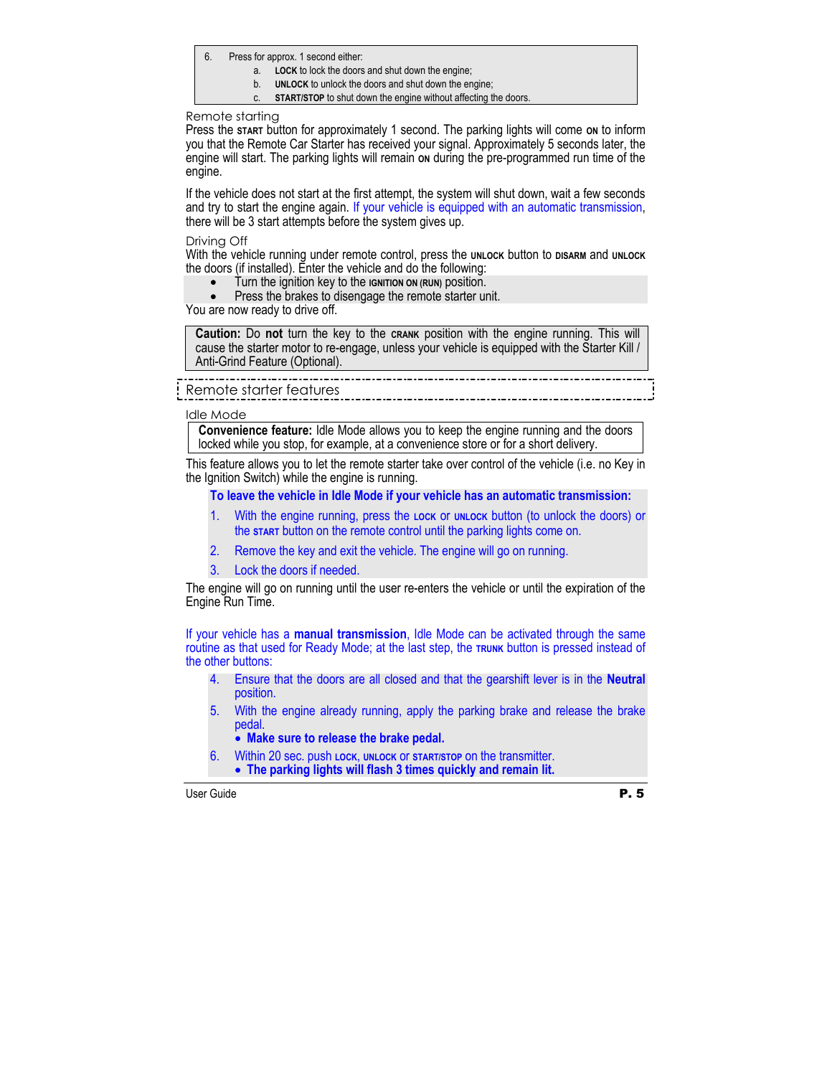- 6. Press for approx. 1 second either:
	- a. **LOCK** to lock the doors and shut down the engine;
	- b. **UNLOCK** to unlock the doors and shut down the engine;
	- c. **START/STOP** to shut down the engine without affecting the doors.

#### Remote starting

Press the start button for approximately 1 second. The parking lights will come on to inform you that the Remote Car Starter has received your signal. Approximately 5 seconds later, the engine will start. The parking lights will remain on during the pre-programmed run time of the engine.

If the vehicle does not start at the first attempt, the system will shut down, wait a few seconds and try to start the engine again. If your vehicle is equipped with an automatic transmission, there will be 3 start attempts before the system gives up.

#### Driving Off

With the vehicle running under remote control, press the **UNLOCK** button to **DISARM** and **UNLOCK** the doors (if installed). Enter the vehicle and do the following:

- Turn the ignition key to the **IGNITION ON (RUN)** position.
- Press the brakes to disengage the remote starter unit.

You are now ready to drive off.

**Caution:** Do **not** turn the key to the **CRANK** position with the engine running. This will cause the starter motor to re-engage, unless your vehicle is equipped with the Starter Kill / Anti-Grind Feature (Optional).

# Remote starter features

#### Idle Mode

**Convenience feature:** Idle Mode allows you to keep the engine running and the doors locked while you stop, for example, at a convenience store or for a short delivery.

This feature allows you to let the remote starter take over control of the vehicle (i.e. no Key in the Ignition Switch) while the engine is running.

#### **To leave the vehicle in Idle Mode if your vehicle has an automatic transmission:**

- 1. With the engine running, press the **LOCK** or **UNLOCK** button (to unlock the doors) or the **START** button on the remote control until the parking lights come on.
- 2. Remove the key and exit the vehicle. The engine will go on running.
- 3. Lock the doors if needed.

The engine will go on running until the user re-enters the vehicle or until the expiration of the Engine Run Time.

If your vehicle has a **manual transmission**, Idle Mode can be activated through the same routine as that used for Ready Mode; at the last step, the **TRUNK** button is pressed instead of the other buttons:

- 4. Ensure that the doors are all closed and that the gearshift lever is in the **Neutral** position.
- 5. With the engine already running, apply the parking brake and release the brake pedal.
	- **Make sure to release the brake pedal.**
- 6. Within 20 sec. push **LOCK**, **UNLOCK** or **START/STOP** on the transmitter.
	- **The parking lights will flash 3 times quickly and remain lit.**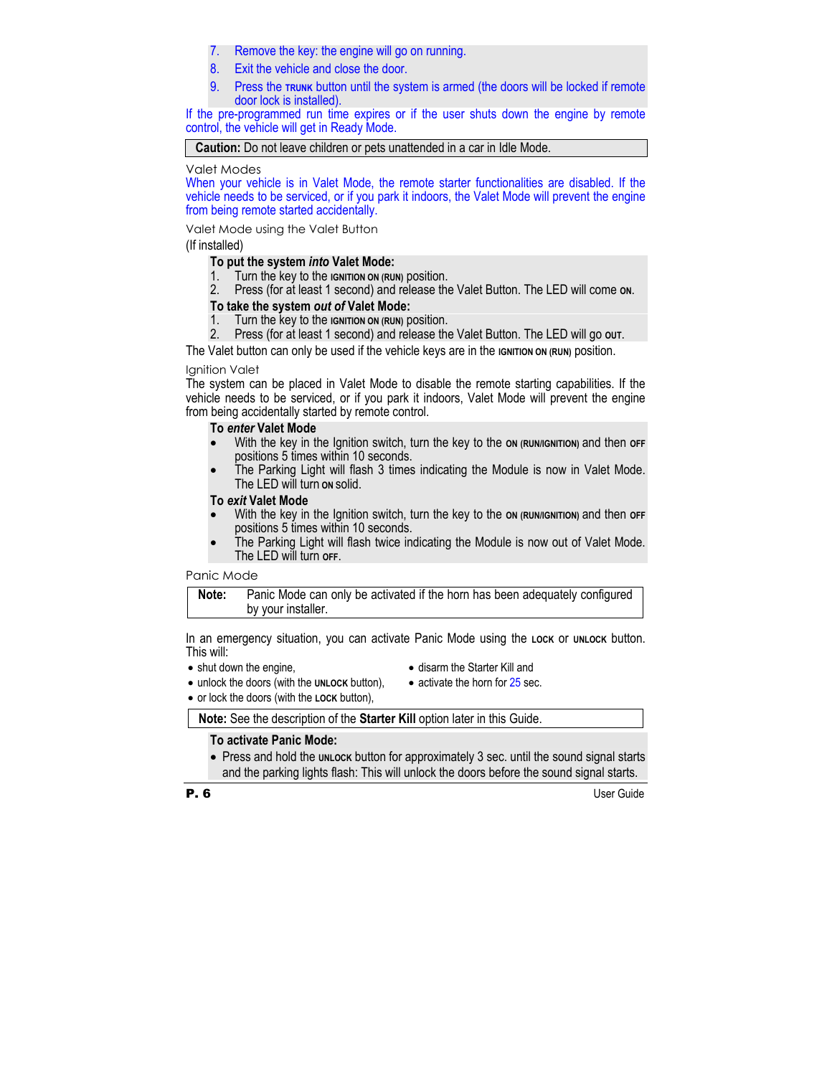- 7. Remove the key: the engine will go on running.
- 8. Exit the vehicle and close the door.
- 9. Press the **TRUNK** button until the system is armed (the doors will be locked if remote door lock is installed).

If the pre-programmed run time expires or if the user shuts down the engine by remote control, the vehicle will get in Ready Mode.

**Caution:** Do not leave children or pets unattended in a car in Idle Mode.

Valet Modes

When your vehicle is in Valet Mode, the remote starter functionalities are disabled. If the vehicle needs to be serviced, or if you park it indoors, the Valet Mode will prevent the engine from being remote started accidentally.

Valet Mode using the Valet Button

(If installed)

## **To put the system** *into* **Valet Mode:**

- 1. Turn the key to the **IGNITION ON (RUN)** position.
- 2. Press (for at least 1 second) and release the Valet Button. The LED will come **ON**.

## **To take the system** *out of* **Valet Mode:**

- 1. Turn the key to the **IGNITION ON (RUN)** position.
- 2. Press (for at least 1 second) and release the Valet Button. The LED will go **OUT**.

The Valet button can only be used if the vehicle keys are in the **IGNITION ON (RUN)** position.

#### Ignition Valet

The system can be placed in Valet Mode to disable the remote starting capabilities. If the vehicle needs to be serviced, or if you park it indoors, Valet Mode will prevent the engine from being accidentally started by remote control.

#### **To** *enter* **Valet Mode**

- With the key in the Ignition switch, turn the key to the on (RUN/IGNITION) and then off positions 5 times within 10 seconds.
- The Parking Light will flash 3 times indicating the Module is now in Valet Mode. The LED will turn **ON** solid.

#### **To** *exit* **Valet Mode**

- With the key in the Ignition switch, turn the key to the **ON (RUN/IGNITION)** and then **OFF**  positions 5 times within 10 seconds.
- The Parking Light will flash twice indicating the Module is now out of Valet Mode. The LED will turn **OFF**.

#### Panic Mode

**Note:** Panic Mode can only be activated if the horn has been adequately configured by your installer.

In an emergency situation, you can activate Panic Mode using the **LOCK** or **UNLOCK** button. This will:

• shut down the engine,

- disarm the Starter Kill and
- unlock the doors (with the **UNLOCK** button),
- activate the horn for 25 sec.
- or lock the doors (with the **LOCK** button),

**Note:** See the description of the **Starter Kill** option later in this Guide.

# **To activate Panic Mode:**

• Press and hold the **UNLOCK** button for approximately 3 sec. until the sound signal starts and the parking lights flash: This will unlock the doors before the sound signal starts.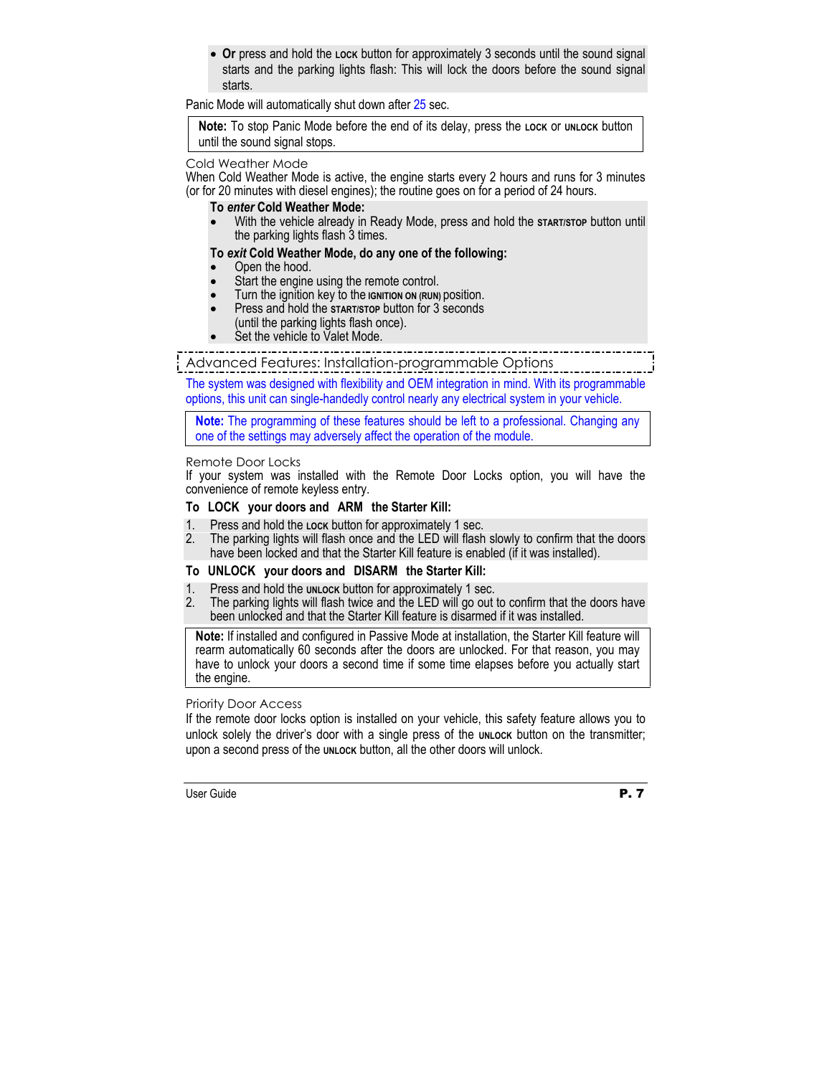• **Or** press and hold the **Lock** button for approximately 3 seconds until the sound signal starts and the parking lights flash: This will lock the doors before the sound signal starts.

Panic Mode will automatically shut down after 25 sec.

**Note:** To stop Panic Mode before the end of its delay, press the **LOCK** or **UNLOCK** button until the sound signal stops.

#### Cold Weather Mode

When Cold Weather Mode is active, the engine starts every 2 hours and runs for 3 minutes (or for 20 minutes with diesel engines); the routine goes on for a period of 24 hours.

#### **To** *enter* **Cold Weather Mode:**

• With the vehicle already in Ready Mode, press and hold the **START/STOP** button until the parking lights flash 3 times.

## **To** *exit* **Cold Weather Mode, do any one of the following:**

- Open the hood.
- Start the engine using the remote control.
- Turn the ignition key to the **IGNITION ON (RUN)** position.
- Press and hold the **START/STOP** button for 3 seconds (until the parking lights flash once).
- Set the vehicle to Valet Mode.

Advanced Features: Installation-programmable Options

The system was designed with flexibility and OEM integration in mind. With its programmable options, this unit can single-handedly control nearly any electrical system in your vehicle.

**Note:** The programming of these features should be left to a professional. Changing any one of the settings may adversely affect the operation of the module.

#### Remote Door Locks

If your system was installed with the Remote Door Locks option, you will have the convenience of remote keyless entry.

# **To LOCK your doors and ARM the Starter Kill:**

- 1. Press and hold the **LOCK** button for approximately 1 sec.
- 2. The parking lights will flash once and the LED will flash slowly to confirm that the doors have been locked and that the Starter Kill feature is enabled (if it was installed).

# **To UNLOCK your doors and DISARM the Starter Kill:**

- 1. Press and hold the **UNLOCK** button for approximately 1 sec.
- 2. The parking lights will flash twice and the LED will go out to confirm that the doors have been unlocked and that the Starter Kill feature is disarmed if it was installed.

**Note:** If installed and configured in Passive Mode at installation, the Starter Kill feature will rearm automatically 60 seconds after the doors are unlocked. For that reason, you may have to unlock your doors a second time if some time elapses before you actually start the engine.

#### Priority Door Access

If the remote door locks option is installed on your vehicle, this safety feature allows you to unlock solely the driver's door with a single press of the **UNLOCK** button on the transmitter; upon a second press of the **UNLOCK** button, all the other doors will unlock.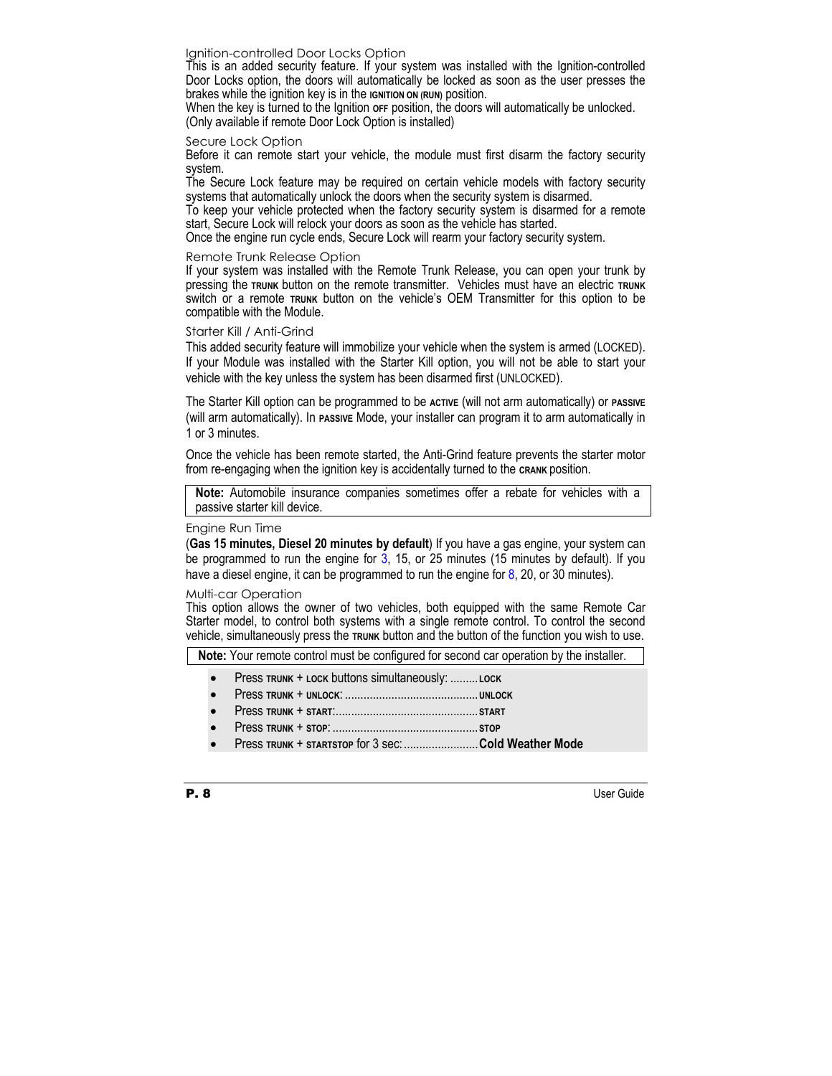#### Ignition-controlled Door Locks Option

This is an added security feature. If your system was installed with the Ignition-controlled Door Locks option, the doors will automatically be locked as soon as the user presses the brakes while the ignition key is in the **IGNITION ON (RUN)** position.

When the key is turned to the Ignition **OFF** position, the doors will automatically be unlocked. (Only available if remote Door Lock Option is installed)

#### Secure Lock Option

Before it can remote start your vehicle, the module must first disarm the factory security system.

The Secure Lock feature may be required on certain vehicle models with factory security systems that automatically unlock the doors when the security system is disarmed.

To keep your vehicle protected when the factory security system is disarmed for a remote start, Secure Lock will relock your doors as soon as the vehicle has started.

Once the engine run cycle ends, Secure Lock will rearm your factory security system.

#### Remote Trunk Release Option

If your system was installed with the Remote Trunk Release, you can open your trunk by pressing the **TRUNK** button on the remote transmitter. Vehicles must have an electric **TRUNK**  switch or a remote **TRUNK** button on the vehicle's OEM Transmitter for this option to be compatible with the Module.

#### Starter Kill / Anti-Grind

This added security feature will immobilize your vehicle when the system is armed (LOCKED). If your Module was installed with the Starter Kill option, you will not be able to start your vehicle with the key unless the system has been disarmed first (UNLOCKED).

The Starter Kill option can be programmed to be **ACTIVE** (will not arm automatically) or **PASSIVE** (will arm automatically). In **PASSIVE** Mode, your installer can program it to arm automatically in 1 or 3 minutes.

Once the vehicle has been remote started, the Anti-Grind feature prevents the starter motor from re-engaging when the ignition key is accidentally turned to the **CRANK** position.

**Note:** Automobile insurance companies sometimes offer a rebate for vehicles with a passive starter kill device.

#### Engine Run Time

(**Gas 15 minutes, Diesel 20 minutes by default**) If you have a gas engine, your system can be programmed to run the engine for  $3$ , 15, or 25 minutes (15 minutes by default). If you have a diesel engine, it can be programmed to run the engine for 8, 20, or 30 minutes).

#### Multi-car Operation

This option allows the owner of two vehicles, both equipped with the same Remote Car Starter model, to control both systems with a single remote control. To control the second vehicle, simultaneously press the **TRUNK** button and the button of the function you wish to use.

**Note:** Your remote control must be configured for second car operation by the installer.

- Press **TRUNK** + **LOCK** buttons simultaneously: .........**LOCK**
- Press **TRUNK** + **UNLOCK**: ...........................................**UNLOCK**
- Press **TRUNK** + **START**:..............................................**START**
- Press **TRUNK** + **STOP**: ...............................................**STOP**
- Press **TRUNK** + **STARTSTOP** for 3 sec:........................**Cold Weather Mode**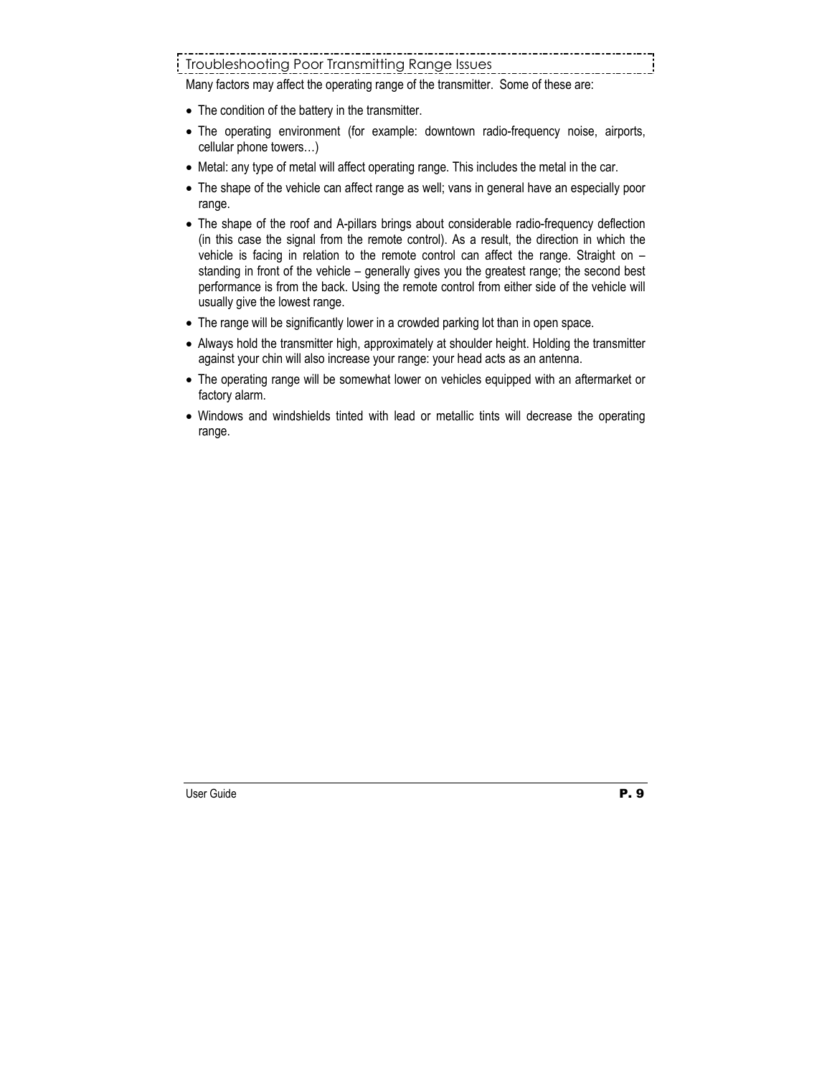# Troubleshooting Poor Transmitting Range Issues

Many factors may affect the operating range of the transmitter. Some of these are:

- The condition of the battery in the transmitter.
- The operating environment (for example: downtown radio-frequency noise, airports, cellular phone towers…)
- Metal: any type of metal will affect operating range. This includes the metal in the car.
- The shape of the vehicle can affect range as well; vans in general have an especially poor range.
- The shape of the roof and A-pillars brings about considerable radio-frequency deflection (in this case the signal from the remote control). As a result, the direction in which the vehicle is facing in relation to the remote control can affect the range. Straight on – standing in front of the vehicle – generally gives you the greatest range; the second best performance is from the back. Using the remote control from either side of the vehicle will usually give the lowest range.
- The range will be significantly lower in a crowded parking lot than in open space.
- Always hold the transmitter high, approximately at shoulder height. Holding the transmitter against your chin will also increase your range: your head acts as an antenna.
- The operating range will be somewhat lower on vehicles equipped with an aftermarket or factory alarm.
- Windows and windshields tinted with lead or metallic tints will decrease the operating range.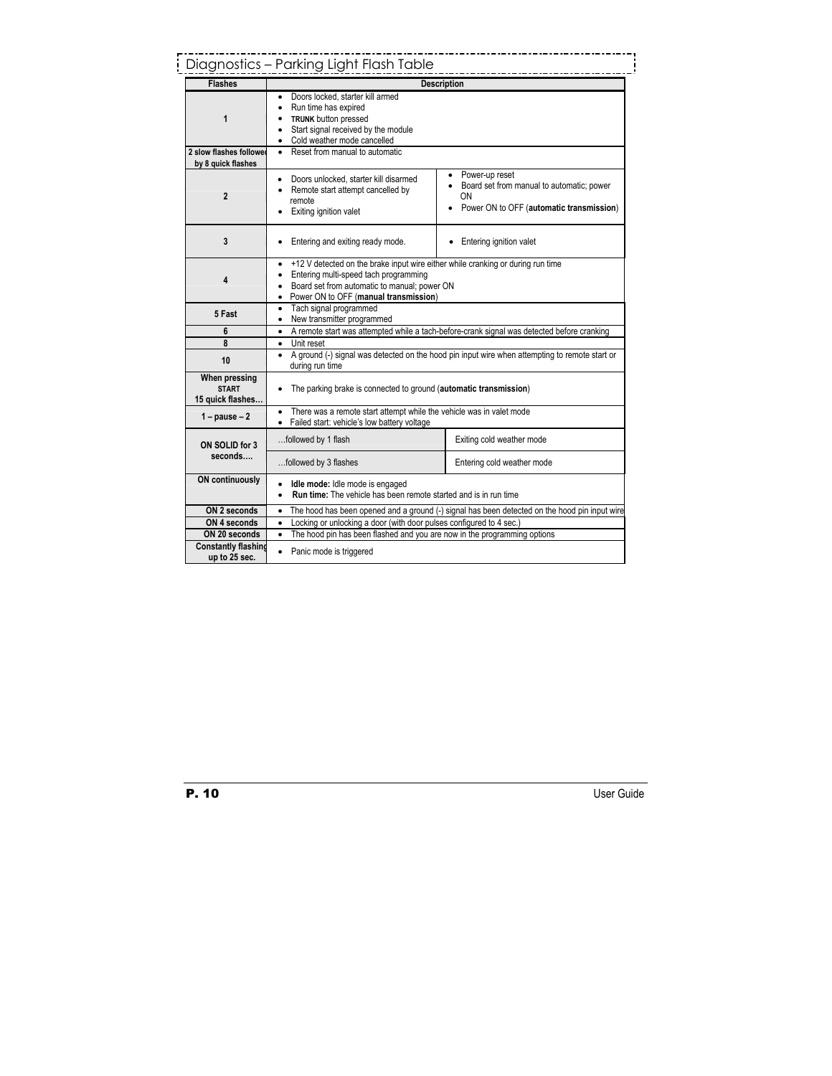|                                                              | Diagnostics - Parking Light Flash Table                                                                                                                                                                                             |                                                                                                                 |  |  |
|--------------------------------------------------------------|-------------------------------------------------------------------------------------------------------------------------------------------------------------------------------------------------------------------------------------|-----------------------------------------------------------------------------------------------------------------|--|--|
| <b>Flashes</b>                                               | <b>Description</b>                                                                                                                                                                                                                  |                                                                                                                 |  |  |
| 1                                                            | Doors locked, starter kill armed<br>Run time has expired<br>٠<br><b>TRUNK</b> button pressed<br>Start signal received by the module<br>• Cold weather mode cancelled<br>Reset from manual to automatic                              |                                                                                                                 |  |  |
| 2 slow flashes follower<br>by 8 quick flashes                | $\bullet$                                                                                                                                                                                                                           |                                                                                                                 |  |  |
| $\overline{2}$                                               | Doors unlocked, starter kill disarmed<br>Remote start attempt cancelled by<br>remote<br>Exiting ignition valet                                                                                                                      | Power-up reset<br>• Board set from manual to automatic; power<br>OΝ<br>Power ON to OFF (automatic transmission) |  |  |
| 3                                                            | Entering and exiting ready mode.                                                                                                                                                                                                    | Entering ignition valet                                                                                         |  |  |
| 4                                                            | +12 V detected on the brake input wire either while cranking or during run time<br>Entering multi-speed tach programming<br>Board set from automatic to manual; power ON<br>$\bullet$<br>Power ON to OFF (manual transmission)<br>٠ |                                                                                                                 |  |  |
| 5 Fast                                                       | Tach signal programmed<br>$\bullet$<br>New transmitter programmed<br>$\bullet$                                                                                                                                                      |                                                                                                                 |  |  |
| 6                                                            | • A remote start was attempted while a tach-before-crank signal was detected before cranking                                                                                                                                        |                                                                                                                 |  |  |
| 8                                                            | Unit reset<br>$\bullet$<br>A ground (-) signal was detected on the hood pin input wire when attempting to remote start or<br>$\bullet$<br>during run time<br>The parking brake is connected to ground (automatic transmission)<br>٠ |                                                                                                                 |  |  |
| 10                                                           |                                                                                                                                                                                                                                     |                                                                                                                 |  |  |
| When pressing<br><b>START</b><br>15 quick flashes            |                                                                                                                                                                                                                                     |                                                                                                                 |  |  |
| $1 - pause - 2$                                              | There was a remote start attempt while the vehicle was in valet mode<br>٠<br>Failed start: vehicle's low battery voltage<br>٠                                                                                                       |                                                                                                                 |  |  |
| ON SOLID for 3                                               | followed by 1 flash                                                                                                                                                                                                                 | Exiting cold weather mode                                                                                       |  |  |
| seconds                                                      | followed by 3 flashes                                                                                                                                                                                                               | Entering cold weather mode                                                                                      |  |  |
| <b>ON continuously</b>                                       | Idle mode: Idle mode is engaged<br>$\bullet$<br><b>Run time:</b> The vehicle has been remote started and is in run time<br>$\bullet$                                                                                                |                                                                                                                 |  |  |
| ON 2 seconds                                                 | The hood has been opened and a ground (-) signal has been detected on the hood pin input wire<br>$\bullet$                                                                                                                          |                                                                                                                 |  |  |
| ON 4 seconds                                                 | Locking or unlocking a door (with door pulses configured to 4 sec.)<br>$\bullet$                                                                                                                                                    |                                                                                                                 |  |  |
| ON 20 seconds<br><b>Constantly flashing</b><br>up to 25 sec. | The hood pin has been flashed and you are now in the programming options<br>$\bullet$<br>Panic mode is triggered<br>$\bullet$                                                                                                       |                                                                                                                 |  |  |